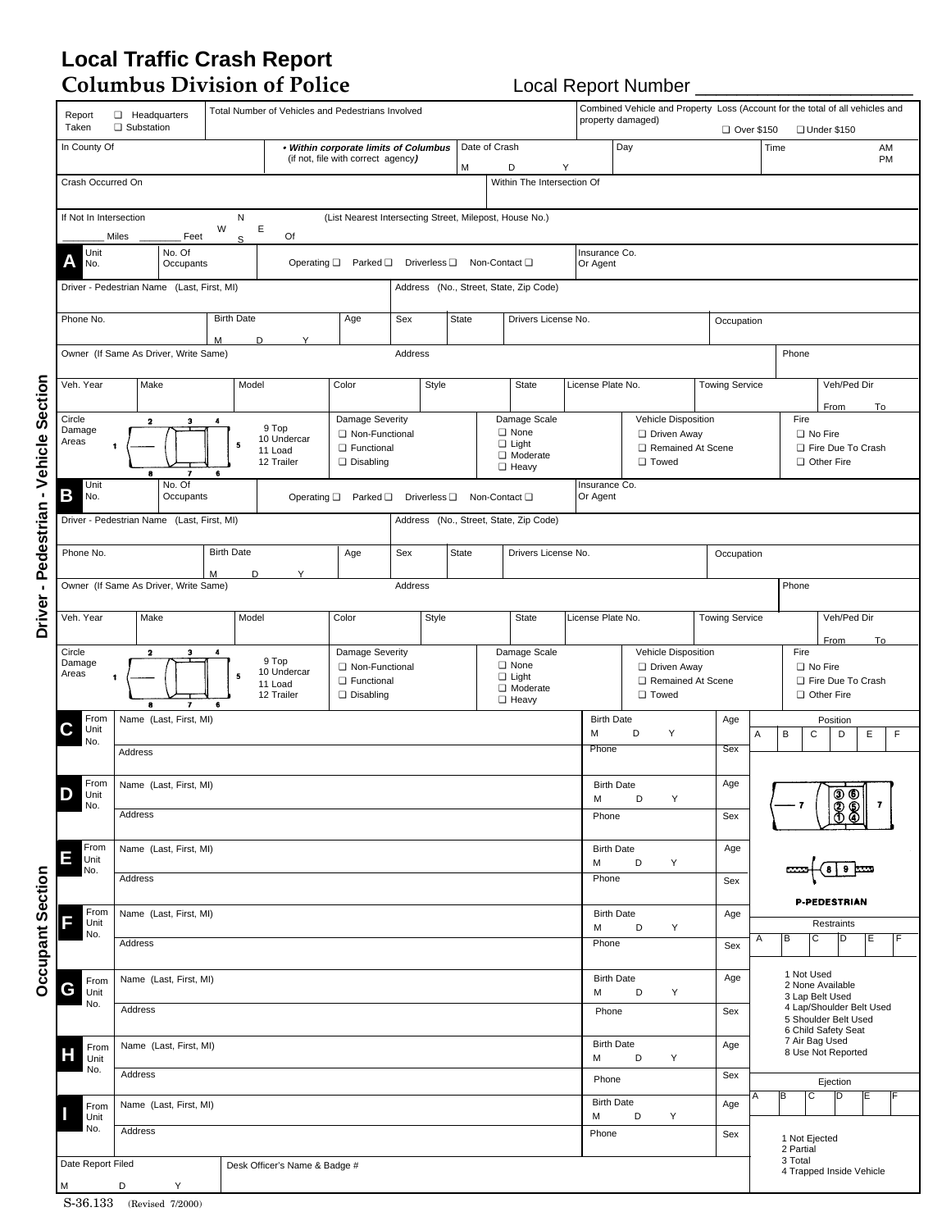## **Local Traffic Crash Report**

**Columbus Division of Police** Local Report Number \_\_\_\_\_\_\_\_\_\_\_\_\_\_\_\_\_\_\_\_\_

|                  | Report<br>Taken                                                                | Total Number of Vehicles and Pedestrians Involved<br><b>El</b> Headquarters<br>property damaged)<br>□ Substation |                                                                                    |                                                                              |                               |                                                                       |                                                                                   |                                                                        |                                           |                                                                                  |       |                                                                           |                       | Combined Vehicle and Property Loss (Account for the total of all vehicles and<br>Over \$150<br>□ Under \$150 |                           |  |  |
|------------------|--------------------------------------------------------------------------------|------------------------------------------------------------------------------------------------------------------|------------------------------------------------------------------------------------|------------------------------------------------------------------------------|-------------------------------|-----------------------------------------------------------------------|-----------------------------------------------------------------------------------|------------------------------------------------------------------------|-------------------------------------------|----------------------------------------------------------------------------------|-------|---------------------------------------------------------------------------|-----------------------|--------------------------------------------------------------------------------------------------------------|---------------------------|--|--|
|                  | In County Of                                                                   |                                                                                                                  |                                                                                    |                                                                              |                               | Date of Crash<br>. Within corporate limits of Columbus                |                                                                                   |                                                                        |                                           |                                                                                  |       | Day                                                                       |                       | AM<br>Time                                                                                                   |                           |  |  |
|                  | Crash Occurred On                                                              |                                                                                                                  |                                                                                    |                                                                              |                               | (if not, file with correct agency)                                    |                                                                                   |                                                                        | M<br>D<br>Y<br>Within The Intersection Of |                                                                                  |       |                                                                           |                       |                                                                                                              | PM                        |  |  |
|                  |                                                                                |                                                                                                                  |                                                                                    |                                                                              |                               |                                                                       |                                                                                   |                                                                        |                                           |                                                                                  |       |                                                                           |                       |                                                                                                              |                           |  |  |
|                  | If Not In Intersection                                                         | Miles                                                                                                            | Feet                                                                               | N<br>W<br>S                                                                  | Ε<br>Of                       | (List Nearest Intersecting Street, Milepost, House No.)               |                                                                                   |                                                                        |                                           |                                                                                  |       |                                                                           |                       |                                                                                                              |                           |  |  |
|                  | Unit<br>No.                                                                    |                                                                                                                  | Operating $\square$ Parked $\square$<br>Driverless Q Non-Contact Q                 |                                                                              |                               |                                                                       |                                                                                   |                                                                        | Insurance Co.<br>Or Agent                 |                                                                                  |       |                                                                           |                       |                                                                                                              |                           |  |  |
|                  | Driver - Pedestrian Name (Last, First, MI)                                     |                                                                                                                  |                                                                                    |                                                                              |                               | Address (No., Street, State, Zip Code)                                |                                                                                   |                                                                        |                                           |                                                                                  |       |                                                                           |                       |                                                                                                              |                           |  |  |
|                  | Phone No.                                                                      | <b>Birth Date</b><br>м                                                                                           |                                                                                    |                                                                              | D<br>Υ                        | Age                                                                   | Sex                                                                               |                                                                        | <b>State</b><br>Drivers License No.       |                                                                                  |       |                                                                           | Occupation            |                                                                                                              |                           |  |  |
|                  | Owner (If Same As Driver, Write Same)                                          |                                                                                                                  | Address                                                                            |                                                                              |                               |                                                                       |                                                                                   |                                                                        | Phone                                     |                                                                                  |       |                                                                           |                       |                                                                                                              |                           |  |  |
|                  | Veh. Year                                                                      |                                                                                                                  | Make                                                                               |                                                                              | Model                         | Color                                                                 |                                                                                   | Style                                                                  |                                           | State                                                                            |       | License Plate No.                                                         | <b>Towing Service</b> |                                                                                                              | Veh/Ped Dir<br>From<br>To |  |  |
| -Vehicle Section | Circle<br>$\mathbf{2}$<br>з<br>4<br>Damage<br>Areas<br>5<br>$\bf{6}$<br>8<br>7 |                                                                                                                  | 9 Top<br>10 Undercar<br>11 Load<br>12 Trailer                                      | <b>Damage Severity</b><br>Non-Functional<br><b>D</b> Functional<br>Disabling |                               |                                                                       |                                                                                   | Damage Scale<br>□ None<br>$\Box$ Light<br>□ Moderate<br><b>D</b> Heavy |                                           | Vehicle Disposition<br><b>Driven Away</b><br>Remained At Scene<br><b>O</b> Towed |       | Fire<br>No Fire<br>Fire Due To Crash<br>Other Fire                        |                       |                                                                                                              |                           |  |  |
|                  | Unit<br>В<br>No.                                                               | No. Of<br>Occupants                                                                                              |                                                                                    |                                                                              |                               |                                                                       | Operating $\square$ Parked $\square$<br>Driverless <sup>[]</sup><br>Non-Contact □ |                                                                        |                                           |                                                                                  |       | Insurance Co.<br>Or Agent                                                 |                       |                                                                                                              |                           |  |  |
|                  | Driver - Pedestrian Name (Last, First, MI)                                     |                                                                                                                  |                                                                                    |                                                                              |                               |                                                                       |                                                                                   |                                                                        |                                           | Address (No., Street, State, Zip Code)                                           |       |                                                                           |                       |                                                                                                              |                           |  |  |
| Pedestrian       | <b>Birth Date</b><br>Phone No.                                                 |                                                                                                                  |                                                                                    |                                                                              | Y                             | Age<br>Sex                                                            |                                                                                   |                                                                        | <b>State</b><br>Drivers License No.       |                                                                                  |       |                                                                           |                       | Occupation                                                                                                   |                           |  |  |
| $\mathbf{r}$     | Owner (If Same As Driver, Write Same)                                          |                                                                                                                  | M                                                                                  | D                                                                            |                               | Address                                                               |                                                                                   |                                                                        |                                           |                                                                                  |       |                                                                           | Phone                 |                                                                                                              |                           |  |  |
| Driver           | Veh. Year                                                                      | Make                                                                                                             |                                                                                    |                                                                              | Model                         | Color<br>Style                                                        |                                                                                   |                                                                        |                                           | State                                                                            |       | License Plate No.                                                         |                       | <b>Towing Service</b>                                                                                        | Veh/Ped Dir               |  |  |
|                  | Circle<br>Damage<br>Areas                                                      | $\mathbf{2}$<br>1                                                                                                | 3<br>4<br>9 Top<br>10 Undercar<br>5<br>11 Load<br>12 Trailer<br>$\bf{6}$<br>8<br>7 |                                                                              |                               | Damage Severity<br>Non-Functional<br><b>D</b> Functional<br>Disabling |                                                                                   |                                                                        |                                           | Damage Scale<br>□ None<br>$\Box$ Light<br>□ Moderate<br><b>B</b> Heavy           |       | Vehicle Disposition<br>Driven Away<br>Remained At Scene<br><b>O</b> Towed |                       | From<br>To<br>Fire<br>No Fire<br>Fire Due To Crash<br>Other Fire                                             |                           |  |  |
|                  | From<br>C<br>Unit                                                              |                                                                                                                  | Name (Last, First, MI)                                                             |                                                                              |                               |                                                                       |                                                                                   |                                                                        |                                           |                                                                                  | М     | <b>Birth Date</b><br>Υ<br>D                                               | Age<br>Α              | В<br>C                                                                                                       | Position<br>Ε<br>D<br>F   |  |  |
|                  | No.                                                                            | Address                                                                                                          |                                                                                    |                                                                              |                               |                                                                       |                                                                                   |                                                                        |                                           |                                                                                  | Phone |                                                                           | Sex                   |                                                                                                              |                           |  |  |
|                  | From<br>Unit<br>No.                                                            | Name (Last, First, MI)                                                                                           |                                                                                    |                                                                              |                               |                                                                       |                                                                                   |                                                                        |                                           |                                                                                  |       | <b>Birth Date</b><br>D<br>Y                                               | Age                   | 000<br>000<br>$\overline{7}$<br>- 7                                                                          |                           |  |  |
|                  |                                                                                | Address                                                                                                          |                                                                                    |                                                                              |                               |                                                                       |                                                                                   |                                                                        |                                           |                                                                                  | Phone |                                                                           | Sex                   |                                                                                                              |                           |  |  |
|                  | From<br>ш<br>Unit<br>No.                                                       |                                                                                                                  | Name (Last, First, MI)                                                             |                                                                              |                               |                                                                       | M                                                                                 | <b>Birth Date</b><br>D<br>Υ                                            | Age                                       | 9                                                                                |       |                                                                           |                       |                                                                                                              |                           |  |  |
|                  |                                                                                | Address                                                                                                          |                                                                                    |                                                                              |                               |                                                                       |                                                                                   |                                                                        |                                           |                                                                                  |       | Phone                                                                     | Sex                   | P-PEDESTRIAN                                                                                                 |                           |  |  |
| Occupant Section | From<br>Unit<br>No.                                                            | Name (Last, First, MI)                                                                                           |                                                                                    |                                                                              |                               |                                                                       |                                                                                   |                                                                        |                                           |                                                                                  |       | <b>Birth Date</b><br>D<br>Υ                                               | Age                   | Restraints<br>в<br>l C<br>Α<br>D<br>Е                                                                        |                           |  |  |
|                  |                                                                                | Address                                                                                                          |                                                                                    |                                                                              |                               |                                                                       |                                                                                   |                                                                        |                                           |                                                                                  |       | Phone                                                                     | Sex                   |                                                                                                              |                           |  |  |
|                  | From<br>G<br>Unit<br>No.                                                       | Name (Last, First, MI)                                                                                           |                                                                                    |                                                                              |                               |                                                                       |                                                                                   |                                                                        |                                           |                                                                                  |       | <b>Birth Date</b><br>D<br>Υ                                               | Age                   | 1 Not Used<br>2 None Available<br>3 Lap Belt Used                                                            |                           |  |  |
|                  |                                                                                | Address                                                                                                          |                                                                                    |                                                                              |                               |                                                                       | Phone                                                                             |                                                                        | Sex                                       | 4 Lap/Shoulder Belt Used<br>5 Shoulder Belt Used<br>6 Child Safety Seat          |       |                                                                           |                       |                                                                                                              |                           |  |  |
|                  | From<br>Unit                                                                   |                                                                                                                  | Name (Last, First, MI)                                                             |                                                                              |                               |                                                                       | M                                                                                 | <b>Birth Date</b><br>D<br>Υ                                            | Age                                       | 7 Air Bag Used<br>8 Use Not Reported                                             |       |                                                                           |                       |                                                                                                              |                           |  |  |
|                  | No.                                                                            | Address                                                                                                          |                                                                                    |                                                                              |                               |                                                                       | Phone                                                                             |                                                                        | Sex                                       | Ejection<br>р<br>С<br>A<br>в<br>ΙE                                               |       |                                                                           |                       |                                                                                                              |                           |  |  |
|                  | From<br>Unit<br>No.                                                            |                                                                                                                  | Name (Last, First, MI)                                                             |                                                                              |                               |                                                                       |                                                                                   |                                                                        |                                           |                                                                                  |       | <b>Birth Date</b><br>D<br>Υ                                               | Age                   |                                                                                                              |                           |  |  |
|                  |                                                                                | Address                                                                                                          |                                                                                    |                                                                              |                               |                                                                       |                                                                                   |                                                                        |                                           |                                                                                  | Phone |                                                                           | Sex                   | 1 Not Ejected<br>2 Partial<br>3 Total                                                                        |                           |  |  |
|                  | Date Report Filed<br>М                                                         | D                                                                                                                | Υ                                                                                  |                                                                              | Desk Officer's Name & Badge # |                                                                       |                                                                                   |                                                                        |                                           |                                                                                  |       |                                                                           |                       |                                                                                                              | 4 Trapped Inside Vehicle  |  |  |

S-36.133 (Revised 7/2000)